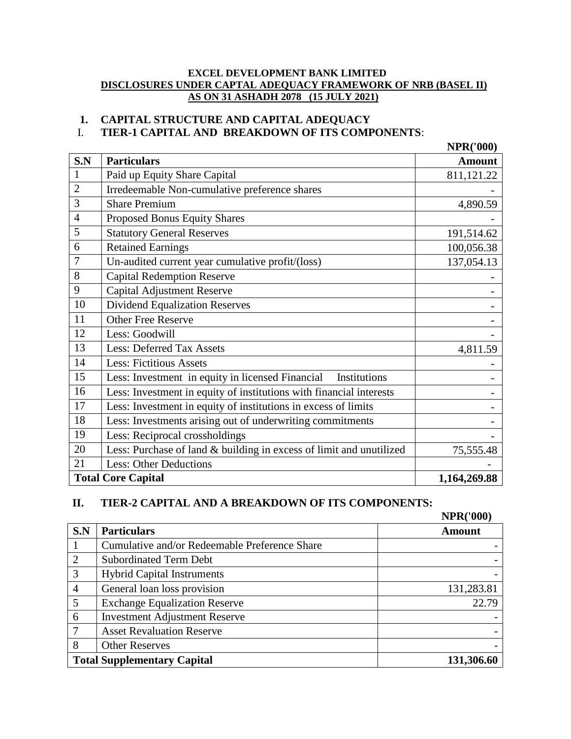#### **EXCEL DEVELOPMENT BANK LIMITED DISCLOSURES UNDER CAPTAL ADEQUACY FRAMEWORK OF NRB (BASEL II) AS ON 31 ASHADH 2078 (15 JULY 2021)**

# **1. CAPITAL STRUCTURE AND CAPITAL ADEQUACY**

## I. **TIER-1 CAPITAL AND BREAKDOWN OF ITS COMPONENTS**:

|                |                                                                     | <b>NPR('000)</b> |
|----------------|---------------------------------------------------------------------|------------------|
| S.N            | <b>Particulars</b>                                                  | <b>Amount</b>    |
| $\mathbf{1}$   | Paid up Equity Share Capital                                        | 811,121.22       |
| $\overline{2}$ | Irredeemable Non-cumulative preference shares                       |                  |
| 3              | <b>Share Premium</b>                                                | 4,890.59         |
| $\overline{4}$ | Proposed Bonus Equity Shares                                        |                  |
| 5              | <b>Statutory General Reserves</b>                                   | 191,514.62       |
| 6              | <b>Retained Earnings</b>                                            | 100,056.38       |
| 7              | Un-audited current year cumulative profit/(loss)                    | 137,054.13       |
| 8              | <b>Capital Redemption Reserve</b>                                   |                  |
| 9              | <b>Capital Adjustment Reserve</b>                                   |                  |
| 10             | <b>Dividend Equalization Reserves</b>                               |                  |
| 11             | <b>Other Free Reserve</b>                                           |                  |
| 12             | Less: Goodwill                                                      |                  |
| 13             | <b>Less: Deferred Tax Assets</b>                                    | 4,811.59         |
| 14             | <b>Less: Fictitious Assets</b>                                      |                  |
| 15             | Less: Investment in equity in licensed Financial<br>Institutions    |                  |
| 16             | Less: Investment in equity of institutions with financial interests |                  |
| 17             | Less: Investment in equity of institutions in excess of limits      |                  |
| 18             | Less: Investments arising out of underwriting commitments           |                  |
| 19             | Less: Reciprocal crossholdings                                      |                  |
| 20             | Less: Purchase of land & building in excess of limit and unutilized | 75,555.48        |
| 21             | <b>Less: Other Deductions</b>                                       |                  |
|                | <b>Total Core Capital</b>                                           | 1,164,269.88     |

# **II. TIER-2 CAPITAL AND A BREAKDOWN OF ITS COMPONENTS:**

|                |                                               | <b>NPR('000)</b> |
|----------------|-----------------------------------------------|------------------|
| S.N            | <b>Particulars</b>                            | Amount           |
|                | Cumulative and/or Redeemable Preference Share |                  |
| $\overline{2}$ | <b>Subordinated Term Debt</b>                 |                  |
| 3              | <b>Hybrid Capital Instruments</b>             |                  |
| 4              | General loan loss provision                   | 131,283.81       |
| 5              | <b>Exchange Equalization Reserve</b>          | 22.79            |
| 6              | <b>Investment Adjustment Reserve</b>          |                  |
|                | <b>Asset Revaluation Reserve</b>              |                  |
| 8              | <b>Other Reserves</b>                         |                  |
|                | <b>Total Supplementary Capital</b>            | 131,306.60       |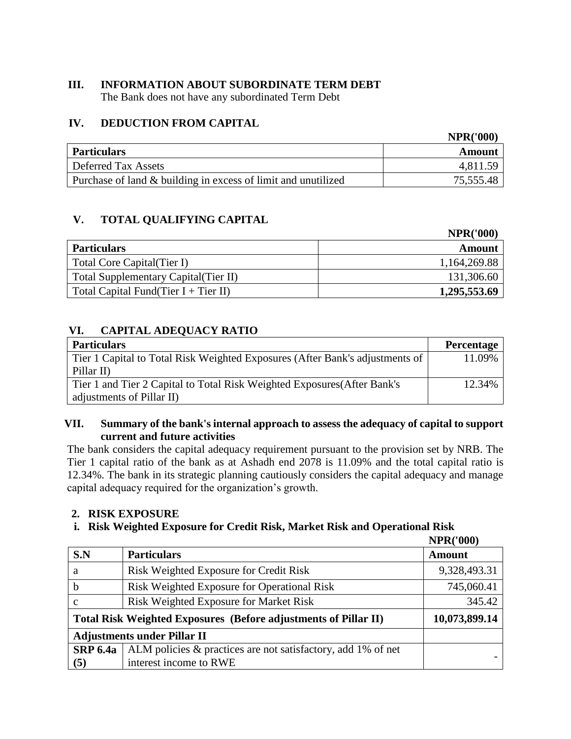# **III. INFORMATION ABOUT SUBORDINATE TERM DEBT**

The Bank does not have any subordinated Term Debt

# **IV. DEDUCTION FROM CAPITAL**

|                                                               | <b>INFINE UUU</b> |
|---------------------------------------------------------------|-------------------|
| <b>Particulars</b>                                            | Amount            |
| <b>Deferred Tax Assets</b>                                    | 4,811.59          |
| Purchase of land & building in excess of limit and unutilized | 75,555.48         |

# **V. TOTAL QUALIFYING CAPITAL**

|                                         | <b>NPR('000)</b> |
|-----------------------------------------|------------------|
| <b>Particulars</b>                      | Amount           |
| Total Core Capital (Tier I)             | 1,164,269.88     |
| Total Supplementary Capital (Tier II)   | 131,306.60       |
| Total Capital Fund(Tier $I + Tier II$ ) | 1,295,553.69     |

# **VI. CAPITAL ADEQUACY RATIO**

| <b>Particulars</b>                                                           | <b>Percentage</b> |
|------------------------------------------------------------------------------|-------------------|
| Tier 1 Capital to Total Risk Weighted Exposures (After Bank's adjustments of | 11.09%            |
| Pillar II)                                                                   |                   |
| Tier 1 and Tier 2 Capital to Total Risk Weighted Exposures (After Bank's     | 12.34%            |
| adjustments of Pillar II)                                                    |                   |

## **VII. Summary of the bank's internal approach to assess the adequacy of capital to support current and future activities**

The bank considers the capital adequacy requirement pursuant to the provision set by NRB. The Tier 1 capital ratio of the bank as at Ashadh end 2078 is 11.09% and the total capital ratio is 12.34%. The bank in its strategic planning cautiously considers the capital adequacy and manage capital adequacy required for the organization's growth.

#### **2. RISK EXPOSURE**

# **i. Risk Weighted Exposure for Credit Risk, Market Risk and Operational Risk**

**NPR('000)**

**NPR('000)**

|                                                                                  |                                                              | 4 14 4 4 1 V V V J |  |  |
|----------------------------------------------------------------------------------|--------------------------------------------------------------|--------------------|--|--|
| S.N                                                                              | <b>Particulars</b>                                           | <b>Amount</b>      |  |  |
| a                                                                                | Risk Weighted Exposure for Credit Risk                       | 9,328,493.31       |  |  |
| b                                                                                | Risk Weighted Exposure for Operational Risk                  | 745,060.41         |  |  |
| c                                                                                | <b>Risk Weighted Exposure for Market Risk</b>                | 345.42             |  |  |
| 10,073,899.14<br>Total Risk Weighted Exposures (Before adjustments of Pillar II) |                                                              |                    |  |  |
|                                                                                  | <b>Adjustments under Pillar II</b>                           |                    |  |  |
| <b>SRP 6.4a</b>                                                                  | ALM policies & practices are not satisfactory, add 1% of net |                    |  |  |
| (5)                                                                              | interest income to RWE                                       |                    |  |  |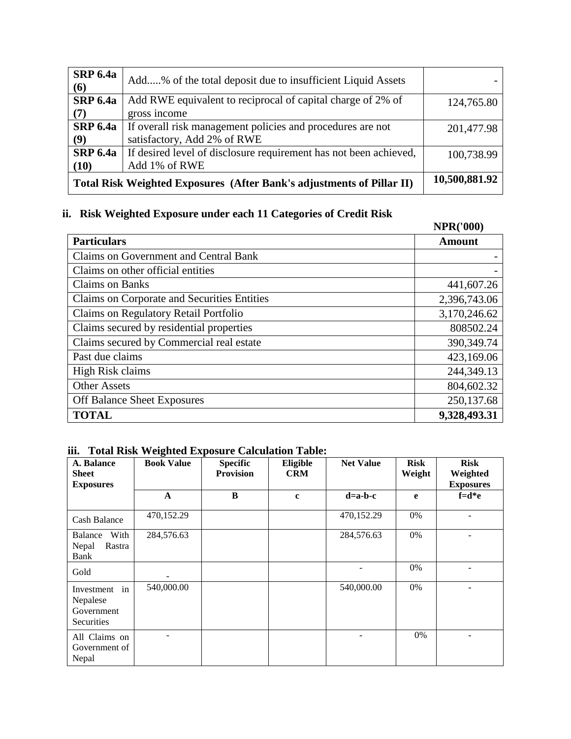| <b>SRP 6.4a</b><br>(6)                                                | Add% of the total deposit due to insufficient Liquid Assets                               |            |
|-----------------------------------------------------------------------|-------------------------------------------------------------------------------------------|------------|
| <b>SRP 6.4a</b><br>(7)                                                | Add RWE equivalent to reciprocal of capital charge of 2% of<br>gross income               | 124,765.80 |
| <b>SRP 6.4a</b><br>(9)                                                | If overall risk management policies and procedures are not<br>satisfactory, Add 2% of RWE | 201,477.98 |
| <b>SRP 6.4a</b><br>(10)                                               | If desired level of disclosure requirement has not been achieved,<br>Add 1% of RWE        | 100,738.99 |
| Total Risk Weighted Exposures (After Bank's adjustments of Pillar II) | 10,500,881.92                                                                             |            |

# **ii. Risk Weighted Exposure under each 11 Categories of Credit Risk**

|                                             | <b>NPR('000)</b> |
|---------------------------------------------|------------------|
| <b>Particulars</b>                          | <b>Amount</b>    |
| Claims on Government and Central Bank       |                  |
| Claims on other official entities           |                  |
| <b>Claims on Banks</b>                      | 441,607.26       |
| Claims on Corporate and Securities Entities | 2,396,743.06     |
| Claims on Regulatory Retail Portfolio       | 3,170,246.62     |
| Claims secured by residential properties    | 808502.24        |
| Claims secured by Commercial real estate    | 390,349.74       |
| Past due claims                             | 423,169.06       |
| High Risk claims                            | 244,349.13       |
| <b>Other Assets</b>                         | 804,602.32       |
| Off Balance Sheet Exposures                 | 250,137.68       |
| <b>TOTAL</b>                                | 9,328,493.31     |

#### **iii. Total Risk Weighted Exposure Calculation Table:**

| A. Balance<br><b>Sheet</b><br><b>Exposures</b>           | -ອ--<br><b>Book Value</b> | <b>Specific</b><br><b>Provision</b> | Eligible<br><b>CRM</b> | <b>Net Value</b> | <b>Risk</b><br>Weight | <b>Risk</b><br>Weighted<br><b>Exposures</b> |
|----------------------------------------------------------|---------------------------|-------------------------------------|------------------------|------------------|-----------------------|---------------------------------------------|
|                                                          | $\mathbf{A}$              | B                                   | $\mathbf{c}$           | $d=a-b-c$        | e                     | $f = d * e$                                 |
| <b>Cash Balance</b>                                      | 470,152.29                |                                     |                        | 470,152.29       | 0%                    |                                             |
| <b>Balance</b><br>With<br>Nepal<br>Rastra<br><b>Bank</b> | 284,576.63                |                                     |                        | 284,576.63       | 0%                    |                                             |
| Gold                                                     |                           |                                     |                        |                  | 0%                    |                                             |
| Investment in<br>Nepalese<br>Government<br>Securities    | 540,000.00                |                                     |                        | 540,000.00       | 0%                    |                                             |
| All Claims on<br>Government of<br>Nepal                  |                           |                                     |                        |                  | 0%                    |                                             |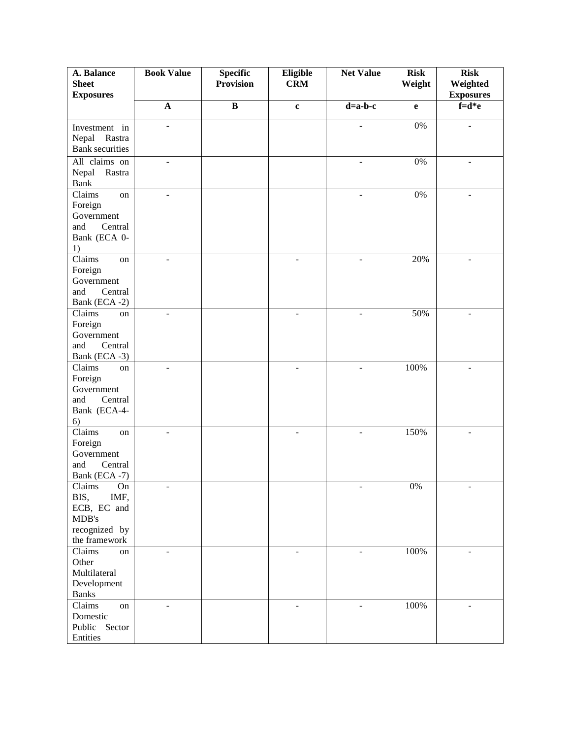| A. Balance<br><b>Sheet</b>                                                                   | <b>Book Value</b> | <b>Specific</b><br><b>Provision</b> | Eligible<br><b>CRM</b>   | <b>Net Value</b> | <b>Risk</b><br>Weight | <b>Risk</b><br>Weighted  |
|----------------------------------------------------------------------------------------------|-------------------|-------------------------------------|--------------------------|------------------|-----------------------|--------------------------|
| <b>Exposures</b>                                                                             |                   |                                     |                          |                  |                       | <b>Exposures</b>         |
|                                                                                              | $\mathbf{A}$      | $\overline{B}$                      | $\mathbf c$              | $d=a-b-c$        | e                     | $f=d*e$                  |
| Investment in<br>Rastra<br>Nepal<br><b>Bank</b> securities                                   |                   |                                     |                          |                  | $0\%$                 | L,                       |
| All claims on<br>Nepal<br>Rastra<br><b>Bank</b>                                              |                   |                                     |                          |                  | $0\%$                 |                          |
| Claims<br>on<br>Foreign<br>Government<br>Central<br>and<br>Bank (ECA 0-<br>1)                |                   |                                     |                          |                  | 0%                    |                          |
| Claims<br>on<br>Foreign<br>Government<br>and<br>Central<br>Bank (ECA-2)                      | $\overline{a}$    |                                     | $\overline{a}$           | $\blacksquare$   | 20%                   | $\overline{\phantom{a}}$ |
| Claims<br>on<br>Foreign<br>Government<br>and<br>Central<br>Bank (ECA -3)                     | L.                |                                     | ÷.                       | ÷.               | 50%                   | $\blacksquare$           |
| Claims<br>on<br>Foreign<br>Government<br>and<br>Central<br>Bank (ECA-4-<br>6)                | L,                |                                     | L,                       |                  | 100%                  |                          |
| Claims<br>on<br>Foreign<br>Government<br>and<br>Central<br>Bank (ECA-7)                      | ÷.                |                                     | $\overline{a}$           | $\blacksquare$   | 150%                  | $\blacksquare$           |
| Claims<br>$\rm On$<br>BIS,<br>IMF,<br>ECB, EC and<br>MDB's<br>recognized by<br>the framework |                   |                                     |                          |                  | $0\%$                 |                          |
| Claims<br>on<br>Other<br>Multilateral<br>Development<br><b>Banks</b>                         | ÷,                |                                     | ÷,                       | $\blacksquare$   | 100%                  |                          |
| Claims<br>on<br>Domestic<br>Public Sector<br>Entities                                        | ÷                 |                                     | $\overline{\phantom{a}}$ |                  | 100%                  |                          |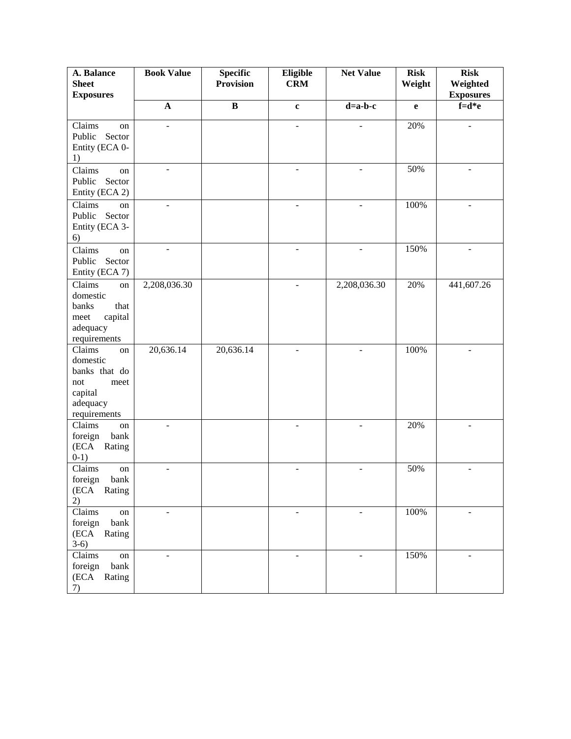| A. Balance                         | <b>Book Value</b> | <b>Specific</b>  | Eligible                 | <b>Net Value</b>         | <b>Risk</b> | <b>Risk</b>                  |
|------------------------------------|-------------------|------------------|--------------------------|--------------------------|-------------|------------------------------|
| <b>Sheet</b><br><b>Exposures</b>   |                   | <b>Provision</b> | <b>CRM</b>               |                          | Weight      | Weighted<br><b>Exposures</b> |
|                                    | $\mathbf{A}$      | $\overline{B}$   | $\mathbf{c}$             | $d=a-b-c$                | e           | $f=d*e$                      |
| Claims<br>on                       | L.                |                  | $\blacksquare$           |                          | 20%         |                              |
| Public<br>Sector                   |                   |                  |                          |                          |             |                              |
| Entity (ECA 0-                     |                   |                  |                          |                          |             |                              |
| 1)                                 | ÷,                |                  | $\blacksquare$           | $\overline{\phantom{a}}$ | 50%         | $\blacksquare$               |
| Claims<br>on<br>Public<br>Sector   |                   |                  |                          |                          |             |                              |
| Entity (ECA 2)                     |                   |                  |                          |                          |             |                              |
| Claims<br>on                       |                   |                  |                          |                          | 100%        |                              |
| Sector<br>Public<br>Entity (ECA 3- |                   |                  |                          |                          |             |                              |
| 6)                                 |                   |                  |                          |                          |             |                              |
| Claims<br>on                       | ÷,                |                  | $\overline{\phantom{a}}$ |                          | 150%        | $\blacksquare$               |
| Sector<br>Public<br>Entity (ECA 7) |                   |                  |                          |                          |             |                              |
| Claims<br>on                       | 2,208,036.30      |                  | $\overline{a}$           | 2,208,036.30             | 20%         | 441,607.26                   |
| domestic                           |                   |                  |                          |                          |             |                              |
| banks<br>that<br>meet<br>capital   |                   |                  |                          |                          |             |                              |
| adequacy                           |                   |                  |                          |                          |             |                              |
| requirements                       |                   |                  |                          |                          |             |                              |
| Claims<br>on<br>domestic           | 20,636.14         | 20,636.14        |                          |                          | 100%        |                              |
| banks that do                      |                   |                  |                          |                          |             |                              |
| not<br>meet                        |                   |                  |                          |                          |             |                              |
| capital<br>adequacy                |                   |                  |                          |                          |             |                              |
| requirements                       |                   |                  |                          |                          |             |                              |
| Claims<br>on<br>foreign<br>bank    | L.                |                  | $\blacksquare$           | $\overline{a}$           | 20%         | $\blacksquare$               |
| (ECA<br>Rating                     |                   |                  |                          |                          |             |                              |
| $0-1)$                             |                   |                  |                          |                          |             |                              |
| Claims<br>on<br>foreign<br>bank    |                   |                  |                          |                          | 50%         |                              |
| (ECA Rating                        |                   |                  |                          |                          |             |                              |
| 2)                                 |                   |                  |                          |                          |             |                              |
| Claims<br>on<br>foreign<br>bank    | ÷,                |                  | $\blacksquare$           | $\blacksquare$           | 100%        | ÷,                           |
| (ECA<br>Rating                     |                   |                  |                          |                          |             |                              |
| $3-6)$<br>Claims                   |                   |                  |                          |                          | 150%        |                              |
| on<br>foreign<br>bank              | ÷                 |                  | $\blacksquare$           |                          |             |                              |
| (ECA<br>Rating                     |                   |                  |                          |                          |             |                              |
| 7)                                 |                   |                  |                          |                          |             |                              |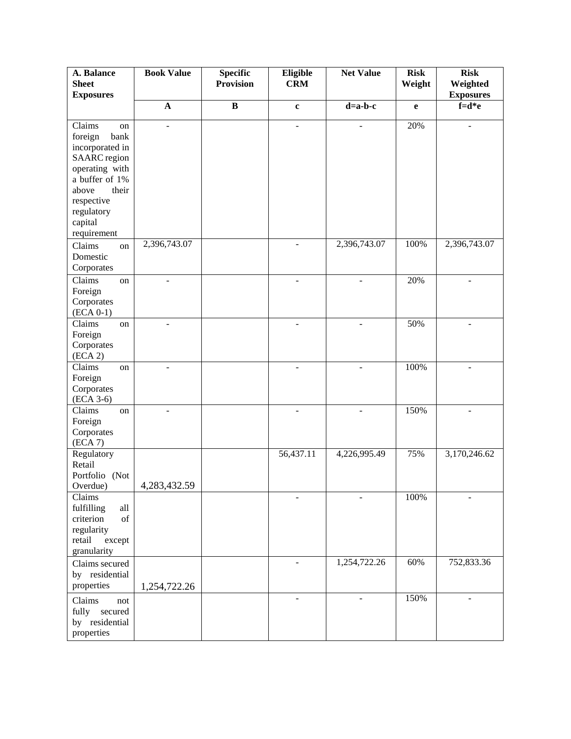| A. Balance<br><b>Sheet</b>                                                                                                                                                            | <b>Book Value</b> | <b>Specific</b><br><b>Provision</b> | Eligible<br><b>CRM</b> | <b>Net Value</b> | <b>Risk</b><br>Weight | <b>Risk</b><br>Weighted |
|---------------------------------------------------------------------------------------------------------------------------------------------------------------------------------------|-------------------|-------------------------------------|------------------------|------------------|-----------------------|-------------------------|
| <b>Exposures</b>                                                                                                                                                                      |                   |                                     |                        |                  |                       | <b>Exposures</b>        |
|                                                                                                                                                                                       | $\mathbf A$       | $\, {\bf B}$                        | $\mathbf c$            | $d=a-b-c$        | e                     | $f=d*e$                 |
| Claims<br>on<br>bank<br>foreign<br>incorporated in<br><b>SAARC</b> region<br>operating with<br>a buffer of 1%<br>their<br>above<br>respective<br>regulatory<br>capital<br>requirement | L.                |                                     | L.                     |                  | 20%                   |                         |
| Claims<br>on<br>Domestic<br>Corporates                                                                                                                                                | 2,396,743.07      |                                     |                        | 2,396,743.07     | 100%                  | 2,396,743.07            |
| Claims<br>on<br>Foreign<br>Corporates<br>$(ECA 0-1)$                                                                                                                                  | $\overline{a}$    |                                     | $\blacksquare$         | ÷,               | 20%                   | $\blacksquare$          |
| Claims<br>on<br>Foreign<br>Corporates<br>(ECA 2)                                                                                                                                      |                   |                                     |                        |                  | 50%                   |                         |
| Claims<br>on<br>Foreign<br>Corporates<br>$(ECA 3-6)$                                                                                                                                  |                   |                                     | ÷,                     |                  | 100%                  |                         |
| Claims<br>on<br>Foreign<br>Corporates<br>(ECA 7)                                                                                                                                      | $\overline{a}$    |                                     | $\overline{a}$         | ÷.               | 150%                  | ÷.                      |
| Regulatory<br>Retail<br>Portfolio (Not<br>Overdue)                                                                                                                                    | 4,283,432.59      |                                     | 56,437.11              | 4,226,995.49     | 75%                   | 3,170,246.62            |
| Claims<br>fulfilling<br>all<br>criterion<br>of<br>regularity<br>retail<br>except<br>granularity                                                                                       |                   |                                     |                        |                  | 100%                  |                         |
| Claims secured<br>by residential<br>properties                                                                                                                                        | 1,254,722.26      |                                     | ÷.                     | 1,254,722.26     | 60%                   | 752,833.36              |
| Claims<br>not<br>secured<br>fully<br>by residential<br>properties                                                                                                                     |                   |                                     |                        |                  | 150%                  |                         |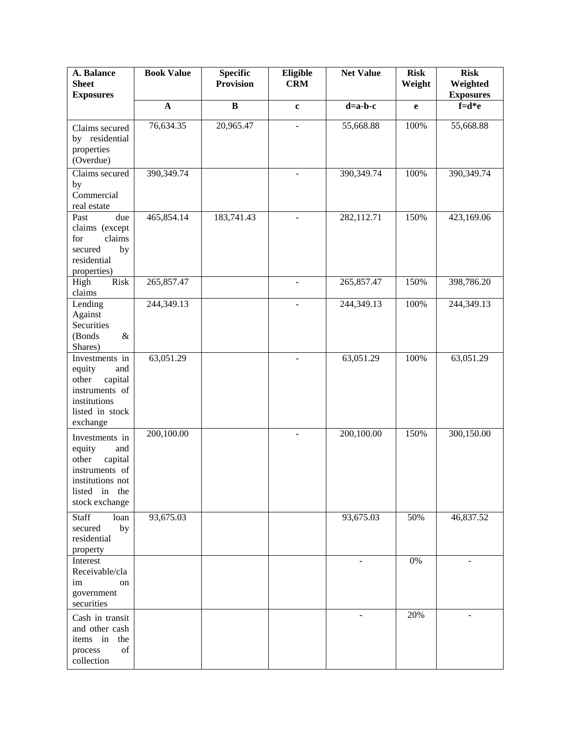| A. Balance<br><b>Sheet</b><br><b>Exposures</b>                                                                               | <b>Book Value</b> | <b>Specific</b><br><b>Provision</b> | Eligible<br><b>CRM</b>   | <b>Net Value</b>         | <b>Risk</b><br>Weight | <b>Risk</b><br>Weighted<br><b>Exposures</b> |
|------------------------------------------------------------------------------------------------------------------------------|-------------------|-------------------------------------|--------------------------|--------------------------|-----------------------|---------------------------------------------|
|                                                                                                                              | $\mathbf{A}$      | $\bf{B}$                            | $\mathbf c$              | $d=a-b-c$                | e                     | $f=d*e$                                     |
| Claims secured<br>by residential<br>properties<br>(Overdue)                                                                  | 76,634.35         | 20,965.47                           | $\overline{a}$           | 55,668.88                | 100%                  | 55,668.88                                   |
| Claims secured<br>by<br>Commercial<br>real estate                                                                            | 390,349.74        |                                     | $\overline{a}$           | 390,349.74               | 100%                  | 390,349.74                                  |
| Past<br>due<br>claims (except<br>claims<br>for<br>secured<br>by<br>residential<br>properties)                                | 465,854.14        | 183,741.43                          | $\overline{a}$           | 282,112.71               | 150%                  | 423,169.06                                  |
| Risk<br>High<br>claims                                                                                                       | 265,857.47        |                                     | $\overline{\phantom{a}}$ | 265,857.47               | 150%                  | 398,786.20                                  |
| Lending<br>Against<br>Securities<br>(Bonds<br>$\&$<br>Shares)                                                                | 244,349.13        |                                     | $\overline{a}$           | 244,349.13               | 100%                  | 244,349.13                                  |
| Investments in<br>equity<br>and<br>capital<br>other<br>instruments of<br>institutions<br>listed in stock<br>exchange         | 63,051.29         |                                     | ÷,                       | 63,051.29                | 100%                  | 63,051.29                                   |
| Investments in<br>equity<br>and<br>capital<br>other<br>instruments of<br>institutions not<br>listed in the<br>stock exchange | 200,100.00        |                                     | ÷,                       | 200,100.00               | 150%                  | 300,150.00                                  |
| <b>Staff</b><br>loan<br>secured<br>by<br>residential<br>property                                                             | 93,675.03         |                                     |                          | 93,675.03                | 50%                   | 46,837.52                                   |
| Interest<br>Receivable/cla<br>im<br>on<br>government<br>securities                                                           |                   |                                     |                          | $\overline{\phantom{a}}$ | 0%                    |                                             |
| Cash in transit<br>and other cash<br>items in<br>the<br>of<br>process<br>collection                                          |                   |                                     |                          |                          | 20%                   |                                             |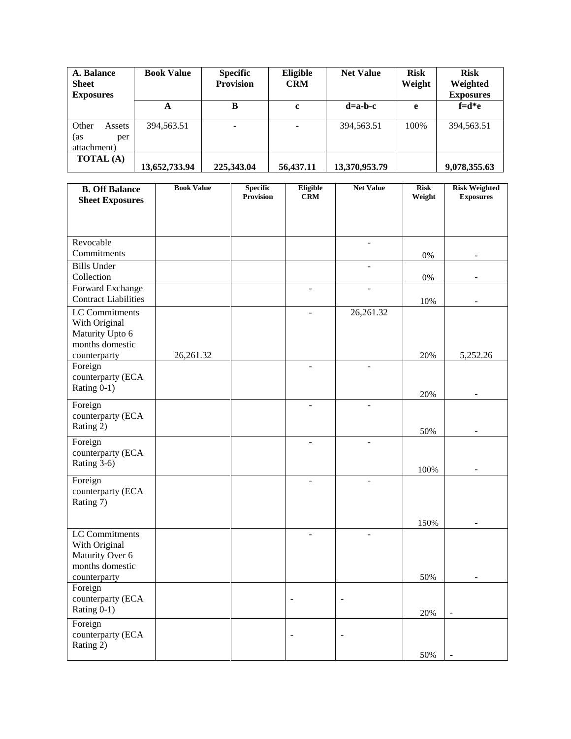| A. Balance<br><b>Sheet</b><br><b>Exposures</b> | <b>Book Value</b> | <b>Specific</b><br><b>Provision</b> | Eligible<br><b>CRM</b> | <b>Net Value</b> | <b>Risk</b><br>Weight | <b>Risk</b><br>Weighted<br><b>Exposures</b> |
|------------------------------------------------|-------------------|-------------------------------------|------------------------|------------------|-----------------------|---------------------------------------------|
|                                                | A                 | B                                   | c                      | $d=a-b-c$        | e                     | $f = d * e$                                 |
| Other<br>Assets<br>(as<br>per<br>attachment)   | 394,563.51        |                                     |                        | 394,563.51       | 100%                  | 394,563.51                                  |
| <b>TOTAL</b> (A)                               | 13,652,733.94     | 225,343.04                          | 56,437.11              | 13,370,953.79    |                       | 9,078,355.63                                |

| <b>B. Off Balance</b><br><b>Sheet Exposures</b>      | <b>Book Value</b> | <b>Specific</b><br><b>Provision</b> | Eligible<br><b>CRM</b>       | <b>Net Value</b>         | <b>Risk</b><br>Weight | <b>Risk Weighted</b><br><b>Exposures</b> |
|------------------------------------------------------|-------------------|-------------------------------------|------------------------------|--------------------------|-----------------------|------------------------------------------|
|                                                      |                   |                                     |                              |                          |                       |                                          |
|                                                      |                   |                                     |                              |                          |                       |                                          |
| Revocable<br>Commitments                             |                   |                                     |                              | $\overline{a}$           | $0\%$                 |                                          |
| <b>Bills Under</b>                                   |                   |                                     |                              | $\overline{a}$           |                       |                                          |
| Collection<br>Forward Exchange                       |                   |                                     |                              |                          | $0\%$                 |                                          |
| <b>Contract Liabilities</b><br><b>LC</b> Commitments |                   |                                     |                              | 26,261.32                | 10%                   |                                          |
| With Original<br>Maturity Upto 6<br>months domestic  |                   |                                     | $\blacksquare$               |                          |                       |                                          |
| counterparty<br>Foreign                              | 26,261.32         |                                     |                              |                          | 20%                   | 5,252.26                                 |
| counterparty (ECA<br>Rating $0-1$ )                  |                   |                                     |                              |                          |                       |                                          |
| Foreign                                              |                   |                                     | $\sim$                       |                          | 20%                   |                                          |
| counterparty (ECA<br>Rating 2)                       |                   |                                     |                              |                          | 50%                   |                                          |
| Foreign<br>counterparty (ECA<br>Rating 3-6)          |                   |                                     |                              |                          | 100%                  |                                          |
| Foreign                                              |                   |                                     |                              |                          |                       |                                          |
| counterparty (ECA<br>Rating 7)                       |                   |                                     |                              |                          |                       |                                          |
| LC Commitments                                       |                   |                                     | $\overline{a}$               | ÷.                       | 150%                  |                                          |
| With Original<br>Maturity Over 6<br>months domestic  |                   |                                     |                              |                          |                       |                                          |
| counterparty                                         |                   |                                     |                              |                          | 50%                   |                                          |
| Foreign<br>counterparty (ECA<br>Rating 0-1)          |                   |                                     | $\qquad \qquad \blacksquare$ | $\overline{\phantom{a}}$ | 20%                   |                                          |
| Foreign                                              |                   |                                     |                              |                          |                       |                                          |
| counterparty (ECA<br>Rating 2)                       |                   |                                     |                              | ÷                        |                       |                                          |
|                                                      |                   |                                     |                              |                          | 50%                   |                                          |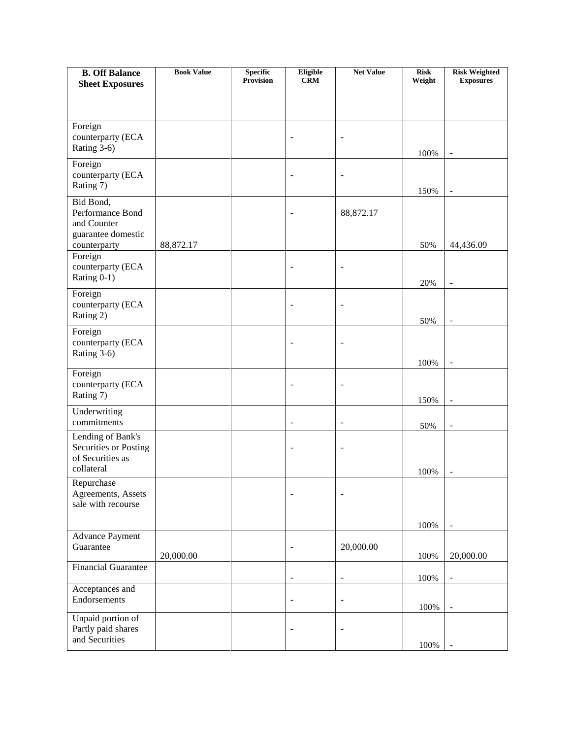| <b>B. Off Balance</b>                      | <b>Book Value</b> | <b>Specific</b><br>Provision | Eligible<br><b>CRM</b>       | <b>Net Value</b>             | <b>Risk</b><br>Weight | <b>Risk Weighted</b><br><b>Exposures</b> |
|--------------------------------------------|-------------------|------------------------------|------------------------------|------------------------------|-----------------------|------------------------------------------|
| <b>Sheet Exposures</b>                     |                   |                              |                              |                              |                       |                                          |
|                                            |                   |                              |                              |                              |                       |                                          |
| Foreign                                    |                   |                              |                              |                              |                       |                                          |
| counterparty (ECA<br>Rating 3-6)           |                   |                              |                              | $\overline{a}$               |                       |                                          |
| Foreign                                    |                   |                              |                              |                              | 100%                  | $\blacksquare$                           |
| counterparty (ECA<br>Rating 7)             |                   |                              | $\overline{\phantom{a}}$     | $\qquad \qquad \blacksquare$ | 150%                  | $\overline{\phantom{a}}$                 |
| Bid Bond,<br>Performance Bond              |                   |                              |                              |                              |                       |                                          |
| and Counter                                |                   |                              |                              | 88, 872. 17                  |                       |                                          |
| guarantee domestic<br>counterparty         | 88, 872. 17       |                              |                              |                              | 50%                   | 44,436.09                                |
| Foreign                                    |                   |                              |                              |                              |                       |                                          |
| counterparty (ECA<br>Rating 0-1)           |                   |                              |                              |                              |                       |                                          |
| Foreign                                    |                   |                              |                              |                              | 20%                   | ÷,                                       |
| counterparty (ECA                          |                   |                              | $\overline{\phantom{0}}$     | $\overline{\phantom{0}}$     |                       |                                          |
| Rating 2)                                  |                   |                              |                              |                              | 50%                   | $\overline{\phantom{a}}$                 |
| Foreign<br>counterparty (ECA               |                   |                              | ۰                            | $\overline{\phantom{0}}$     |                       |                                          |
| Rating 3-6)                                |                   |                              |                              |                              | 100%                  |                                          |
| Foreign                                    |                   |                              |                              |                              |                       |                                          |
| counterparty (ECA<br>Rating 7)             |                   |                              |                              | $\overline{a}$               |                       |                                          |
| Underwriting                               |                   |                              |                              |                              | 150%                  |                                          |
| commitments                                |                   |                              | $\blacksquare$               | $\blacksquare$               | 50%                   | $\blacksquare$                           |
| Lending of Bank's<br>Securities or Posting |                   |                              |                              | $\overline{a}$               |                       |                                          |
| of Securities as                           |                   |                              |                              |                              |                       |                                          |
| collateral<br>Repurchase                   |                   |                              |                              |                              | 100%                  | $\blacksquare$                           |
| Agreements, Assets                         |                   |                              | -                            | $\overline{a}$               |                       |                                          |
| sale with recourse                         |                   |                              |                              |                              |                       |                                          |
|                                            |                   |                              |                              |                              | 100%                  |                                          |
| <b>Advance Payment</b><br>Guarantee        |                   |                              |                              | 20,000.00                    |                       |                                          |
| <b>Financial Guarantee</b>                 | 20,000.00         |                              |                              |                              | 100%                  | 20,000.00                                |
|                                            |                   |                              | ۰                            | $\qquad \qquad \blacksquare$ | 100%                  | $\qquad \qquad \blacksquare$             |
| Acceptances and<br>Endorsements            |                   |                              | $\qquad \qquad \blacksquare$ | $\qquad \qquad \blacksquare$ |                       |                                          |
| Unpaid portion of                          |                   |                              |                              |                              | 100%                  | $\overline{a}$                           |
| Partly paid shares                         |                   |                              | ۰                            | $\blacksquare$               |                       |                                          |
| and Securities                             |                   |                              |                              |                              | 100%                  |                                          |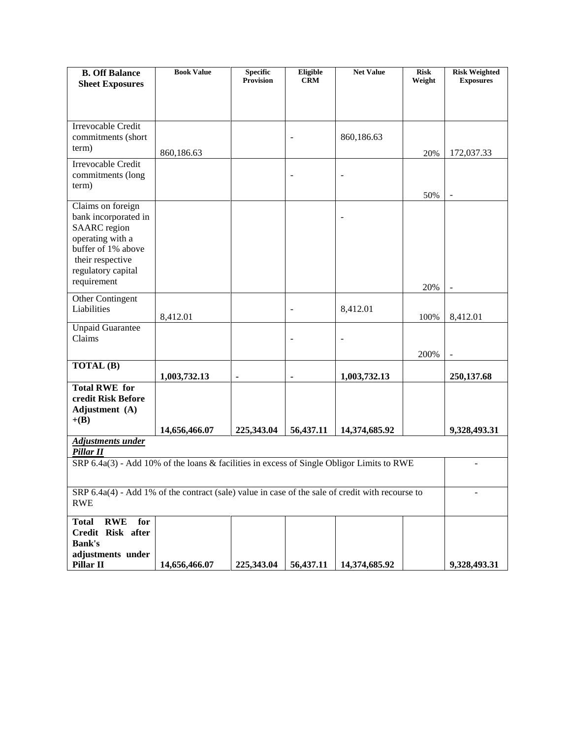| <b>B. Off Balance</b>                                                                            | <b>Book Value</b> | <b>Specific</b><br><b>Provision</b> | Eligible<br><b>CRM</b>   | <b>Net Value</b> | <b>Risk</b><br>Weight | <b>Risk Weighted</b><br><b>Exposures</b> |
|--------------------------------------------------------------------------------------------------|-------------------|-------------------------------------|--------------------------|------------------|-----------------------|------------------------------------------|
| <b>Sheet Exposures</b>                                                                           |                   |                                     |                          |                  |                       |                                          |
|                                                                                                  |                   |                                     |                          |                  |                       |                                          |
| Irrevocable Credit                                                                               |                   |                                     |                          |                  |                       |                                          |
| commitments (short                                                                               |                   |                                     |                          | 860,186.63       |                       |                                          |
| term)                                                                                            | 860,186.63        |                                     |                          |                  | 20%                   | 172,037.33                               |
| Irrevocable Credit                                                                               |                   |                                     |                          |                  |                       |                                          |
| commitments (long<br>term)                                                                       |                   |                                     | $\overline{\phantom{0}}$ | $\overline{a}$   |                       |                                          |
|                                                                                                  |                   |                                     |                          |                  | 50%                   |                                          |
| Claims on foreign                                                                                |                   |                                     |                          |                  |                       |                                          |
| bank incorporated in<br><b>SAARC</b> region                                                      |                   |                                     |                          |                  |                       |                                          |
| operating with a                                                                                 |                   |                                     |                          |                  |                       |                                          |
| buffer of 1% above                                                                               |                   |                                     |                          |                  |                       |                                          |
| their respective<br>regulatory capital                                                           |                   |                                     |                          |                  |                       |                                          |
| requirement                                                                                      |                   |                                     |                          |                  | 20%                   |                                          |
| Other Contingent                                                                                 |                   |                                     |                          |                  |                       |                                          |
| Liabilities                                                                                      | 8,412.01          |                                     | $\overline{\phantom{a}}$ | 8,412.01         | 100%                  | 8,412.01                                 |
| <b>Unpaid Guarantee</b>                                                                          |                   |                                     |                          |                  |                       |                                          |
| Claims                                                                                           |                   |                                     |                          |                  |                       |                                          |
|                                                                                                  |                   |                                     |                          |                  | 200%                  |                                          |
| TOTAL (B)                                                                                        | 1,003,732.13      | ۰                                   | ٠                        | 1,003,732.13     |                       | 250,137.68                               |
| <b>Total RWE for</b>                                                                             |                   |                                     |                          |                  |                       |                                          |
| credit Risk Before<br>Adjustment (A)                                                             |                   |                                     |                          |                  |                       |                                          |
| $+(B)$                                                                                           |                   |                                     |                          |                  |                       |                                          |
|                                                                                                  | 14,656,466.07     | 225,343.04                          | 56,437.11                | 14,374,685.92    |                       | 9,328,493.31                             |
| <b>Adjustments under</b><br>Pillar II                                                            |                   |                                     |                          |                  |                       |                                          |
| SRP 6.4a(3) - Add 10% of the loans & facilities in excess of Single Obligor Limits to RWE        |                   |                                     |                          |                  |                       |                                          |
|                                                                                                  |                   |                                     |                          |                  |                       |                                          |
| SRP 6.4a(4) - Add 1% of the contract (sale) value in case of the sale of credit with recourse to |                   |                                     |                          |                  |                       |                                          |
| <b>RWE</b>                                                                                       |                   |                                     |                          |                  |                       |                                          |
| <b>RWE</b><br><b>Total</b><br>for                                                                |                   |                                     |                          |                  |                       |                                          |
| Credit Risk after<br><b>Bank's</b>                                                               |                   |                                     |                          |                  |                       |                                          |
| adjustments under                                                                                |                   |                                     |                          |                  |                       |                                          |
| Pillar II                                                                                        | 14,656,466.07     | 225,343.04                          | 56,437.11                | 14,374,685.92    |                       | 9,328,493.31                             |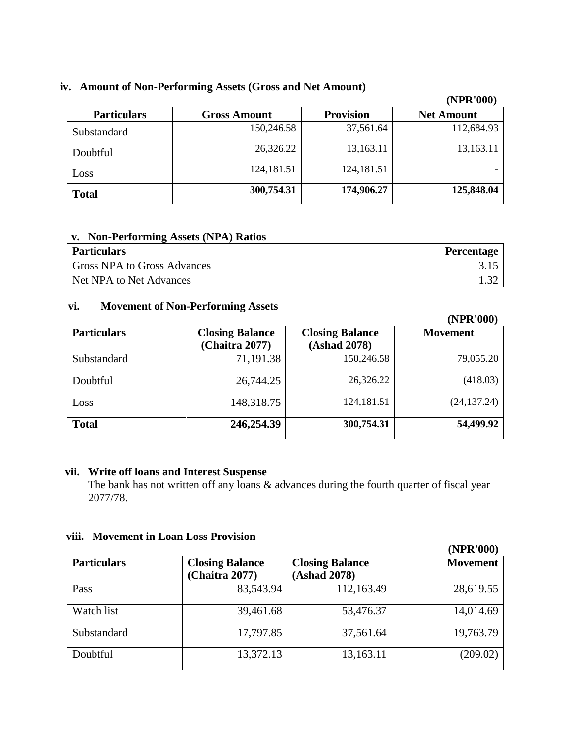## **iv. Amount of Non-Performing Assets (Gross and Net Amount)**

|                    |                     |                  | (NPR'000)         |
|--------------------|---------------------|------------------|-------------------|
| <b>Particulars</b> | <b>Gross Amount</b> | <b>Provision</b> | <b>Net Amount</b> |
| Substandard        | 150,246.58          | 37,561.64        | 112,684.93        |
| Doubtful           | 26,326.22           | 13,163.11        | 13,163.11         |
| Loss               | 124,181.51          | 124,181.51       |                   |
| <b>Total</b>       | 300,754.31          | 174,906.27       | 125,848.04        |

#### **v. Non-Performing Assets (NPA) Ratios**

| <b>Particulars</b>                 | <b>Percentage</b> |
|------------------------------------|-------------------|
| <b>Gross NPA to Gross Advances</b> |                   |
| Net NPA to Net Advances            |                   |

# **vi. Movement of Non-Performing Assets**

|                    |                                          |                                        | (NPR'000)       |
|--------------------|------------------------------------------|----------------------------------------|-----------------|
| <b>Particulars</b> | <b>Closing Balance</b><br>(Chaitra 2077) | <b>Closing Balance</b><br>(Ashad 2078) | <b>Movement</b> |
| Substandard        | 71,191.38                                | 150,246.58                             | 79,055.20       |
| Doubtful           | 26,744.25                                | 26,326.22                              | (418.03)        |
| Loss               | 148,318.75                               | 124,181.51                             | (24, 137.24)    |
| <b>Total</b>       | 246,254.39                               | 300,754.31                             | 54,499.92       |

## **vii. Write off loans and Interest Suspense**

The bank has not written off any loans & advances during the fourth quarter of fiscal year 2077/78.

# **viii. Movement in Loan Loss Provision**

|                    |                                          |                                        | (NPR'000)       |
|--------------------|------------------------------------------|----------------------------------------|-----------------|
| <b>Particulars</b> | <b>Closing Balance</b><br>(Chaitra 2077) | <b>Closing Balance</b><br>(Ashad 2078) | <b>Movement</b> |
| Pass               | 83,543.94                                | 112,163.49                             | 28,619.55       |
| Watch list         | 39,461.68                                | 53,476.37                              | 14,014.69       |
| Substandard        | 17,797.85                                | 37,561.64                              | 19,763.79       |
| Doubtful           | 13,372.13                                | 13,163.11                              | (209.02)        |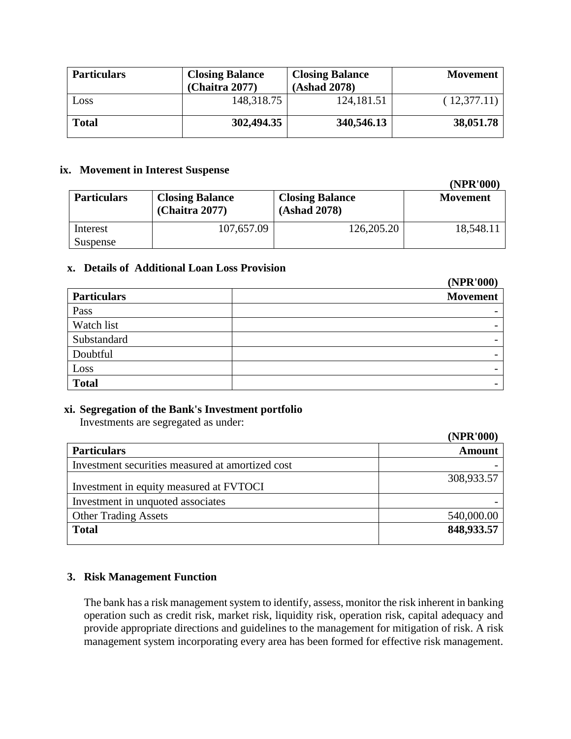| <b>Particulars</b> | <b>Closing Balance</b><br>(Chaitra 2077) | <b>Closing Balance</b><br>(Ashad 2078) | <b>Movement</b> |
|--------------------|------------------------------------------|----------------------------------------|-----------------|
| Loss               | 148,318.75                               | 124,181.51                             | (12,377.11)     |
| <b>Total</b>       | 302,494.35                               | 340,546.13                             | 38,051.78       |

#### **ix. Movement in Interest Suspense**

| <b>Particulars</b> | <b>Closing Balance</b><br><b>(Chaitra 2077)</b> | <b>Closing Balance</b><br>(Ashad 2078) | <b>Movement</b> |
|--------------------|-------------------------------------------------|----------------------------------------|-----------------|
| Interest           | 107,657.09                                      | 126,205.20                             | 18,548.11       |
| Suspense           |                                                 |                                        |                 |

**(NPR'000)**

**(NPR'000)**

 $(1000)$ 

## **x. Details of Additional Loan Loss Provision**

|                    | (NPR'000) |
|--------------------|-----------|
| <b>Particulars</b> | Movement  |
| Pass               |           |
| Watch list         |           |
| Substandard        |           |
| Doubtful           |           |
| Loss               |           |
| <b>Total</b>       |           |

#### **xi. Segregation of the Bank's Investment portfolio**

Investments are segregated as under:

|                                                  | (NPK VVV)     |
|--------------------------------------------------|---------------|
| <b>Particulars</b>                               | <b>Amount</b> |
| Investment securities measured at amortized cost |               |
| Investment in equity measured at FVTOCI          | 308,933.57    |
| Investment in unquoted associates                |               |
| <b>Other Trading Assets</b>                      | 540,000.00    |
| <b>Total</b>                                     | 848,933.57    |

# **3. Risk Management Function**

The bank has a risk management system to identify, assess, monitor the risk inherent in banking operation such as credit risk, market risk, liquidity risk, operation risk, capital adequacy and provide appropriate directions and guidelines to the management for mitigation of risk. A risk management system incorporating every area has been formed for effective risk management.